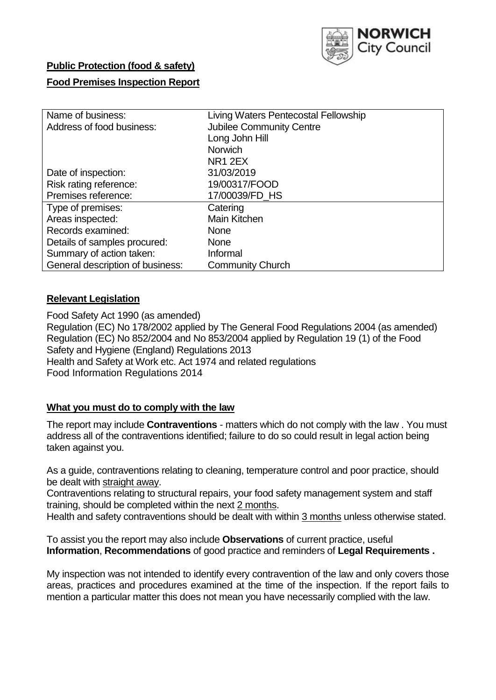

# **Public Protection (food & safety)**

## **Food Premises Inspection Report**

| Name of business:                | Living Waters Pentecostal Fellowship |  |  |  |
|----------------------------------|--------------------------------------|--|--|--|
| Address of food business:        | <b>Jubilee Community Centre</b>      |  |  |  |
|                                  | Long John Hill                       |  |  |  |
|                                  | <b>Norwich</b>                       |  |  |  |
|                                  | NR <sub>1</sub> 2EX                  |  |  |  |
| Date of inspection:              | 31/03/2019                           |  |  |  |
| Risk rating reference:           | 19/00317/FOOD                        |  |  |  |
| Premises reference:              | 17/00039/FD HS                       |  |  |  |
| Type of premises:                | Catering                             |  |  |  |
| Areas inspected:                 | Main Kitchen                         |  |  |  |
| Records examined:                | None                                 |  |  |  |
| Details of samples procured:     | <b>None</b>                          |  |  |  |
| Summary of action taken:         | Informal                             |  |  |  |
| General description of business: | <b>Community Church</b>              |  |  |  |

## **Relevant Legislation**

Food Safety Act 1990 (as amended) Regulation (EC) No 178/2002 applied by The General Food Regulations 2004 (as amended) Regulation (EC) No 852/2004 and No 853/2004 applied by Regulation 19 (1) of the Food Safety and Hygiene (England) Regulations 2013 Health and Safety at Work etc. Act 1974 and related regulations Food Information Regulations 2014

## **What you must do to comply with the law**

The report may include **Contraventions** - matters which do not comply with the law . You must address all of the contraventions identified; failure to do so could result in legal action being taken against you.

As a guide, contraventions relating to cleaning, temperature control and poor practice, should be dealt with straight away.

Contraventions relating to structural repairs, your food safety management system and staff training, should be completed within the next 2 months.

Health and safety contraventions should be dealt with within 3 months unless otherwise stated.

To assist you the report may also include **Observations** of current practice, useful **Information**, **Recommendations** of good practice and reminders of **Legal Requirements .**

My inspection was not intended to identify every contravention of the law and only covers those areas, practices and procedures examined at the time of the inspection. If the report fails to mention a particular matter this does not mean you have necessarily complied with the law.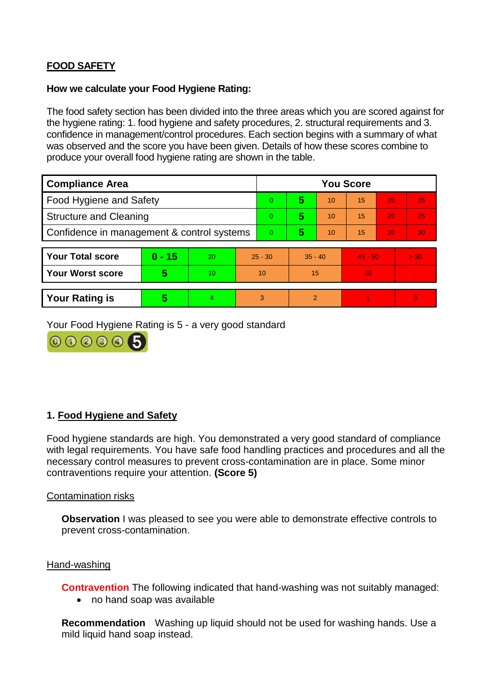# **FOOD SAFETY**

#### **How we calculate your Food Hygiene Rating:**

The food safety section has been divided into the three areas which you are scored against for the hygiene rating: 1. food hygiene and safety procedures, 2. structural requirements and 3. confidence in management/control procedures. Each section begins with a summary of what was observed and the score you have been given. Details of how these scores combine to produce your overall food hygiene rating are shown in the table.

| <b>Compliance Area</b>                     |          |                  |           | <b>You Score</b> |               |    |           |    |          |  |  |
|--------------------------------------------|----------|------------------|-----------|------------------|---------------|----|-----------|----|----------|--|--|
| Food Hygiene and Safety                    |          |                  | 0         | 5                | 10            | 15 | 20        | 25 |          |  |  |
| <b>Structure and Cleaning</b>              |          |                  | $\Omega$  | 5                | 10            | 15 | 20        | 25 |          |  |  |
| Confidence in management & control systems |          |                  | $\Omega$  | 5                | 10            | 15 | 20        | 30 |          |  |  |
|                                            |          |                  |           |                  |               |    |           |    |          |  |  |
| <b>Your Total score</b>                    | $0 - 15$ | 20               | $25 - 30$ |                  | $35 - 40$     |    | $45 - 50$ |    | > 50     |  |  |
| <b>Your Worst score</b>                    | 5        | 10 <sup>10</sup> | 10        |                  | 15            |    | 20        |    |          |  |  |
|                                            |          |                  |           |                  |               |    |           |    |          |  |  |
| <b>Your Rating is</b>                      | 5        | 4                |           | 3                | $\mathcal{P}$ |    |           |    | $\Omega$ |  |  |

Your Food Hygiene Rating is 5 - a very good standard



# **1. Food Hygiene and Safety**

Food hygiene standards are high. You demonstrated a very good standard of compliance with legal requirements. You have safe food handling practices and procedures and all the necessary control measures to prevent cross-contamination are in place. Some minor contraventions require your attention. **(Score 5)**

## Contamination risks

**Observation** I was pleased to see you were able to demonstrate effective controls to prevent cross-contamination.

#### Hand-washing

**Contravention** The following indicated that hand-washing was not suitably managed:

• no hand soap was available

**Recommendation** Washing up liquid should not be used for washing hands. Use a mild liquid hand soap instead.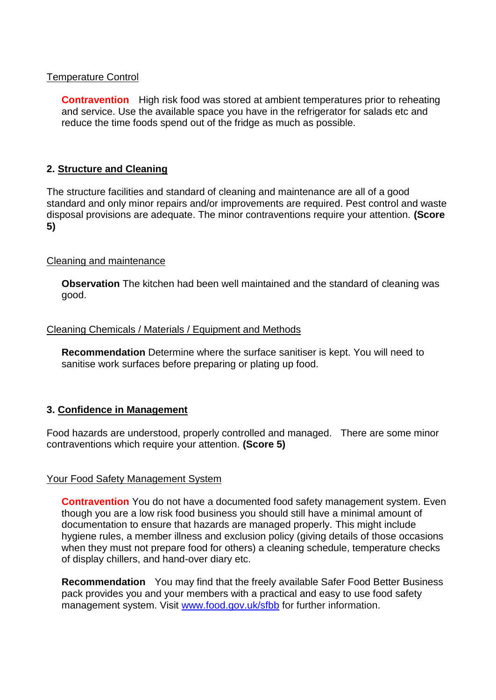## Temperature Control

**Contravention** High risk food was stored at ambient temperatures prior to reheating and service. Use the available space you have in the refrigerator for salads etc and reduce the time foods spend out of the fridge as much as possible.

#### **2. Structure and Cleaning**

The structure facilities and standard of cleaning and maintenance are all of a good standard and only minor repairs and/or improvements are required. Pest control and waste disposal provisions are adequate. The minor contraventions require your attention. **(Score 5)**

#### Cleaning and maintenance

**Observation** The kitchen had been well maintained and the standard of cleaning was good.

#### Cleaning Chemicals / Materials / Equipment and Methods

**Recommendation** Determine where the surface sanitiser is kept. You will need to sanitise work surfaces before preparing or plating up food.

#### **3. Confidence in Management**

Food hazards are understood, properly controlled and managed. There are some minor contraventions which require your attention. **(Score 5)**

#### Your Food Safety Management System

**Contravention** You do not have a documented food safety management system. Even though you are a low risk food business you should still have a minimal amount of documentation to ensure that hazards are managed properly. This might include hygiene rules, a member illness and exclusion policy (giving details of those occasions when they must not prepare food for others) a cleaning schedule, temperature checks of display chillers, and hand-over diary etc.

**Recommendation** You may find that the freely available Safer Food Better Business pack provides you and your members with a practical and easy to use food safety management system. Visit www.food.gov.uk/sfbb for further information.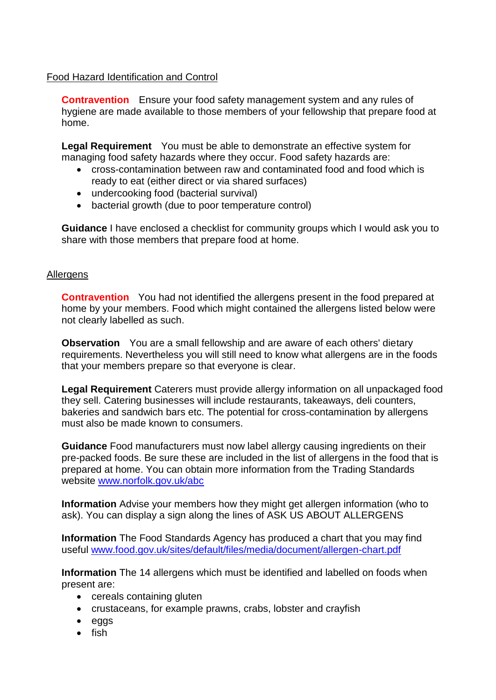## Food Hazard Identification and Control

**Contravention** Ensure your food safety management system and any rules of hygiene are made available to those members of your fellowship that prepare food at home.

**Legal Requirement** You must be able to demonstrate an effective system for managing food safety hazards where they occur. Food safety hazards are:

- cross-contamination between raw and contaminated food and food which is ready to eat (either direct or via shared surfaces)
- undercooking food (bacterial survival)
- bacterial growth (due to poor temperature control)

**Guidance** I have enclosed a checklist for community groups which I would ask you to share with those members that prepare food at home.

## Allergens

**Contravention** You had not identified the allergens present in the food prepared at home by your members. Food which might contained the allergens listed below were not clearly labelled as such.

**Observation** You are a small fellowship and are aware of each others' dietary requirements. Nevertheless you will still need to know what allergens are in the foods that your members prepare so that everyone is clear.

**Legal Requirement** Caterers must provide allergy information on all unpackaged food they sell. Catering businesses will include restaurants, takeaways, deli counters, bakeries and sandwich bars etc. The potential for cross-contamination by allergens must also be made known to consumers.

**Guidance** Food manufacturers must now label allergy causing ingredients on their pre-packed foods. Be sure these are included in the list of allergens in the food that is prepared at home. You can obtain more information from the Trading Standards website www.norfolk.gov.uk/abc

**Information** Advise your members how they might get allergen information (who to ask). You can display a sign along the lines of ASK US ABOUT ALLERGENS

**Information** The Food Standards Agency has produced a chart that you may find useful www.food.gov.uk/sites/default/files/media/document/allergen-chart.pdf

**Information** The 14 allergens which must be identified and labelled on foods when present are:

- cereals containing gluten
- crustaceans, for example prawns, crabs, lobster and crayfish
- eggs
- $\bullet$  fish